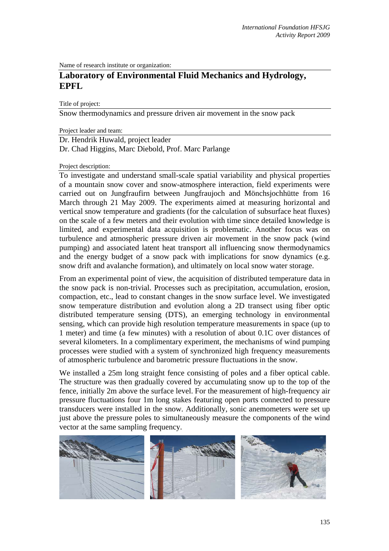Name of research institute or organization:

# **Laboratory of Environmental Fluid Mechanics and Hydrology, EPFL**

Title of project:

Snow thermodynamics and pressure driven air movement in the snow pack

Project leader and team:

Dr. Hendrik Huwald, project leader Dr. Chad Higgins, Marc Diebold, Prof. Marc Parlange

### Project description:

To investigate and understand small-scale spatial variability and physical properties of a mountain snow cover and snow-atmosphere interaction, field experiments were carried out on Jungfraufirn between Jungfraujoch and Mönchsjochhütte from 16 March through 21 May 2009. The experiments aimed at measuring horizontal and vertical snow temperature and gradients (for the calculation of subsurface heat fluxes) on the scale of a few meters and their evolution with time since detailed knowledge is limited, and experimental data acquisition is problematic. Another focus was on turbulence and atmospheric pressure driven air movement in the snow pack (wind pumping) and associated latent heat transport all influencing snow thermodynamics and the energy budget of a snow pack with implications for snow dynamics (e.g. snow drift and avalanche formation), and ultimately on local snow water storage.

From an experimental point of view, the acquisition of distributed temperature data in the snow pack is non-trivial. Processes such as precipitation, accumulation, erosion, compaction, etc., lead to constant changes in the snow surface level. We investigated snow temperature distribution and evolution along a 2D transect using fiber optic distributed temperature sensing (DTS), an emerging technology in environmental sensing, which can provide high resolution temperature measurements in space (up to 1 meter) and time (a few minutes) with a resolution of about 0.1C over distances of several kilometers. In a complimentary experiment, the mechanisms of wind pumping processes were studied with a system of synchronized high frequency measurements of atmospheric turbulence and barometric pressure fluctuations in the snow.

We installed a 25m long straight fence consisting of poles and a fiber optical cable. The structure was then gradually covered by accumulating snow up to the top of the fence, initially 2m above the surface level. For the measurement of high-frequency air pressure fluctuations four 1m long stakes featuring open ports connected to pressure transducers were installed in the snow. Additionally, sonic anemometers were set up just above the pressure poles to simultaneously measure the components of the wind vector at the same sampling frequency.

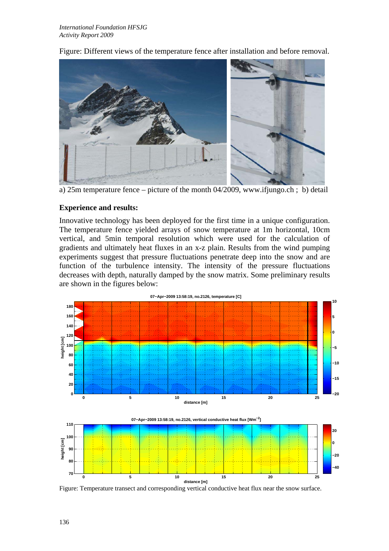

Figure: Different views of the temperature fence after installation and before removal.

a) 25m temperature fence – picture of the month 04/2009, www.ifjungo.ch ; b) detail

## **Experience and results:**

Innovative technology has been deployed for the first time in a unique configuration. The temperature fence yielded arrays of snow temperature at 1m horizontal, 10cm vertical, and 5min temporal resolution which were used for the calculation of gradients and ultimately heat fluxes in an x-z plain. Results from the wind pumping experiments suggest that pressure fluctuations penetrate deep into the snow and are function of the turbulence intensity. The intensity of the pressure fluctuations decreases with depth, naturally damped by the snow matrix. Some preliminary results are shown in the figures below:



Figure: Temperature transect and corresponding vertical conductive heat flux near the snow surface.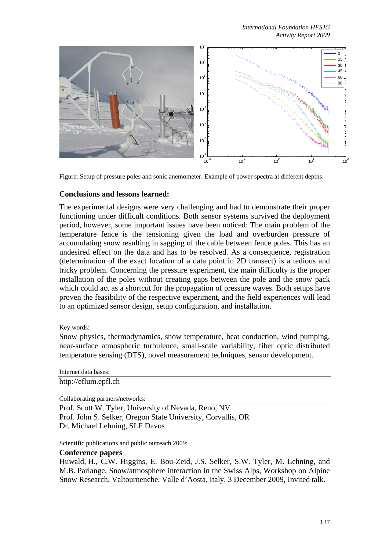*International Foundation HFSJG Activity Report 2009*



Figure: Setup of pressure poles and sonic anemometer. Example of power spectra at different depths.

### **Conclusions and lessons learned:**

The experimental designs were very challenging and had to demonstrate their proper functioning under difficult conditions. Both sensor systems survived the deployment period, however, some important issues have been noticed: The main problem of the temperature fence is the tensioning given the load and overburden pressure of accumulating snow resulting in sagging of the cable between fence poles. This has an undesired effect on the data and has to be resolved. As a consequence, registration (determination of the exact location of a data point in 2D transect) is a tedious and tricky problem. Concerning the pressure experiment, the main difficulty is the proper installation of the poles without creating gaps between the pole and the snow pack which could act as a shortcut for the propagation of pressure waves. Both setups have proven the feasibility of the respective experiment, and the field experiences will lead to an optimized sensor design, setup configuration, and installation.

#### Key words:

Snow physics, thermodynamics, snow temperature, heat conduction, wind pumping, near-surface atmospheric turbulence, small-scale variability, fiber optic distributed temperature sensing (DTS), novel measurement techniques, sensor development.

Internet data bases: http://eflum.epfl.ch

Collaborating partners/networks:

Prof. Scott W. Tyler, University of Nevada, Reno, NV Prof. John S. Selker, Oregon State University, Corvallis, OR Dr. Michael Lehning, SLF Davos

Scientific publications and public outreach 2009:

## **Conference papers**

Huwald, H., C.W. Higgins, E. Bou-Zeid, J.S. Selker, S.W. Tyler, M. Lehning, and M.B. Parlange, Snow/atmosphere interaction in the Swiss Alps, Workshop on Alpine Snow Research, Valtournenche, Valle d'Aosta, Italy, 3 December 2009, Invited talk.